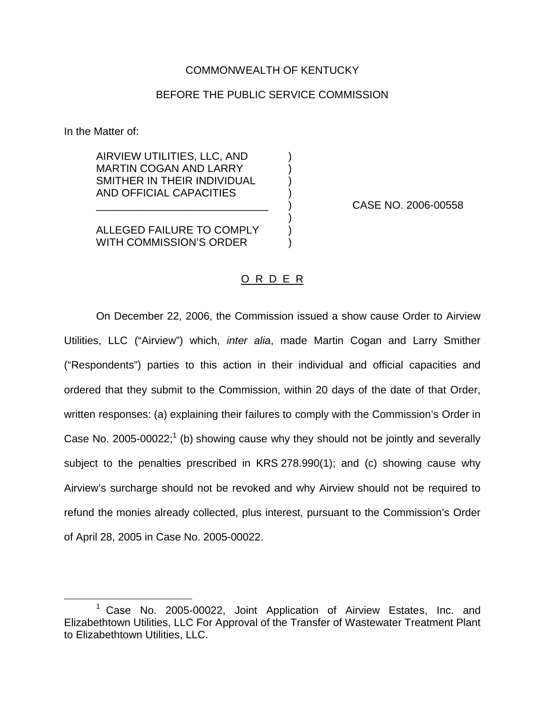## COMMONWEALTH OF KENTUCKY

## BEFORE THE PUBLIC SERVICE COMMISSION

In the Matter of:

AIRVIEW UTILITIES, LLC, AND ) MARTIN COGAN AND LARRY SMITHER IN THEIR INDIVIDUAL AND OFFICIAL CAPACITIES )

\_\_\_\_\_\_\_\_\_\_\_\_\_\_\_\_\_\_\_\_\_\_\_\_\_\_\_\_\_ ) CASE NO. 2006-00558

**ALLEGED FAILURE TO COMPLY** WITH COMMISSION'S ORDER

## O R D E R

)

On December 22, 2006, the Commission issued a show cause Order to Airview Utilities, LLC ("Airview") which, *inter alia*, made Martin Cogan and Larry Smither ("Respondents") parties to this action in their individual and official capacities and ordered that they submit to the Commission, within 20 days of the date of that Order, written responses: (a) explaining their failures to comply with the Commission's Order in Case No. 2005-00022;<sup>1</sup> (b) showing cause why they should not be jointly and severally subject to the penalties prescribed in KRS 278.990(1); and (c) showing cause why Airview's surcharge should not be revoked and why Airview should not be required to refund the monies already collected, plus interest, pursuant to the Commission's Order of April 28, 2005 in Case No. 2005-00022.

<sup>1</sup> Case No. 2005-00022, Joint Application of Airview Estates, Inc. and Elizabethtown Utilities, LLC For Approval of the Transfer of Wastewater Treatment Plant to Elizabethtown Utilities, LLC.